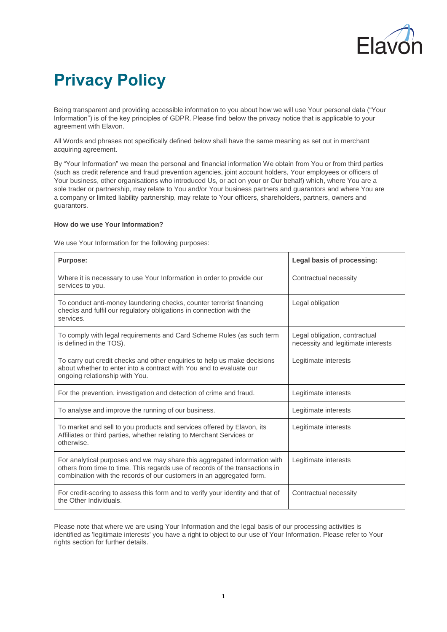

# **Privacy Policy**

Being transparent and providing accessible information to you about how we will use Your personal data ("Your Information") is of the key principles of GDPR. Please find below the privacy notice that is applicable to your agreement with Elavon.

All Words and phrases not specifically defined below shall have the same meaning as set out in merchant acquiring agreement.

By "Your Information" we mean the personal and financial information We obtain from You or from third parties (such as credit reference and fraud prevention agencies, joint account holders, Your employees or officers of Your business, other organisations who introduced Us, or act on your or Our behalf) which, where You are a sole trader or partnership, may relate to You and/or Your business partners and guarantors and where You are a company or limited liability partnership, may relate to Your officers, shareholders, partners, owners and guarantors.

## **How do we use Your Information?**

We use Your Information for the following purposes:

| <b>Purpose:</b>                                                                                                                                                                                                                   | Legal basis of processing:                                          |
|-----------------------------------------------------------------------------------------------------------------------------------------------------------------------------------------------------------------------------------|---------------------------------------------------------------------|
| Where it is necessary to use Your Information in order to provide our<br>services to you.                                                                                                                                         | Contractual necessity                                               |
| To conduct anti-money laundering checks, counter terrorist financing<br>checks and fulfil our regulatory obligations in connection with the<br>services.                                                                          | Legal obligation                                                    |
| To comply with legal requirements and Card Scheme Rules (as such term<br>is defined in the TOS).                                                                                                                                  | Legal obligation, contractual<br>necessity and legitimate interests |
| To carry out credit checks and other enquiries to help us make decisions<br>about whether to enter into a contract with You and to evaluate our<br>ongoing relationship with You.                                                 | Legitimate interests                                                |
| For the prevention, investigation and detection of crime and fraud.                                                                                                                                                               | Legitimate interests                                                |
| To analyse and improve the running of our business.                                                                                                                                                                               | Legitimate interests                                                |
| To market and sell to you products and services offered by Elavon, its<br>Affiliates or third parties, whether relating to Merchant Services or<br>otherwise.                                                                     | Legitimate interests                                                |
| For analytical purposes and we may share this aggregated information with<br>others from time to time. This regards use of records of the transactions in<br>combination with the records of our customers in an aggregated form. | Legitimate interests                                                |
| For credit-scoring to assess this form and to verify your identity and that of<br>the Other Individuals.                                                                                                                          | Contractual necessity                                               |

Please note that where we are using Your Information and the legal basis of our processing activities is identified as 'legitimate interests' you have a right to object to our use of Your Information. Please refer to Your rights section for further details.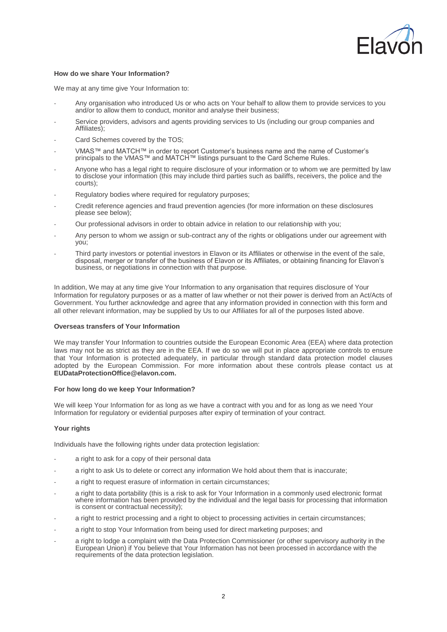

## **How do we share Your Information?**

We may at any time give Your Information to:

- Any organisation who introduced Us or who acts on Your behalf to allow them to provide services to you and/or to allow them to conduct, monitor and analyse their business;
- Service providers, advisors and agents providing services to Us (including our group companies and Affiliates);
- Card Schemes covered by the TOS:
- VMAS™ and MATCH™ in order to report Customer's business name and the name of Customer's principals to the VMAS™ and MATCH™ listings pursuant to the Card Scheme Rules.
- Anyone who has a legal right to require disclosure of your information or to whom we are permitted by law to disclose your information (this may include third parties such as bailiffs, receivers, the police and the courts);
- Regulatory bodies where required for regulatory purposes;
- Credit reference agencies and fraud prevention agencies (for more information on these disclosures please see below);
- Our professional advisors in order to obtain advice in relation to our relationship with you;
- Any person to whom we assign or sub-contract any of the rights or obligations under our agreement with you;
- Third party investors or potential investors in Elavon or its Affiliates or otherwise in the event of the sale, disposal, merger or transfer of the business of Elavon or its Affiliates, or obtaining financing for Elavon's business, or negotiations in connection with that purpose.

In addition, We may at any time give Your Information to any organisation that requires disclosure of Your Information for regulatory purposes or as a matter of law whether or not their power is derived from an Act/Acts of Government. You further acknowledge and agree that any information provided in connection with this form and all other relevant information, may be supplied by Us to our Affiliates for all of the purposes listed above.

#### **Overseas transfers of Your Information**

We may transfer Your Information to countries outside the European Economic Area (EEA) where data protection laws may not be as strict as they are in the EEA. If we do so we will put in place appropriate controls to ensure that Your Information is protected adequately, in particular through standard data protection model clauses adopted by the European Commission. For more information about these controls please contact us at **[EUDataProtectionOffice@elavon.com.](mailto:EUDataProtectionOffice@elavon.com)**

#### **For how long do we keep Your Information?**

We will keep Your Information for as long as we have a contract with you and for as long as we need Your Information for regulatory or evidential purposes after expiry of termination of your contract.

#### **Your rights**

Individuals have the following rights under data protection legislation:

- a right to ask for a copy of their personal data
- a right to ask Us to delete or correct any information We hold about them that is inaccurate;
- a right to request erasure of information in certain circumstances:
- a right to data portability (this is a risk to ask for Your Information in a commonly used electronic format where information has been provided by the individual and the legal basis for processing that information is consent or contractual necessity);
- a right to restrict processing and a right to object to processing activities in certain circumstances;
- a right to stop Your Information from being used for direct marketing purposes; and
- a right to lodge a complaint with the Data Protection Commissioner (or other supervisory authority in the European Union) if You believe that Your Information has not been processed in accordance with the requirements of the data protection legislation.